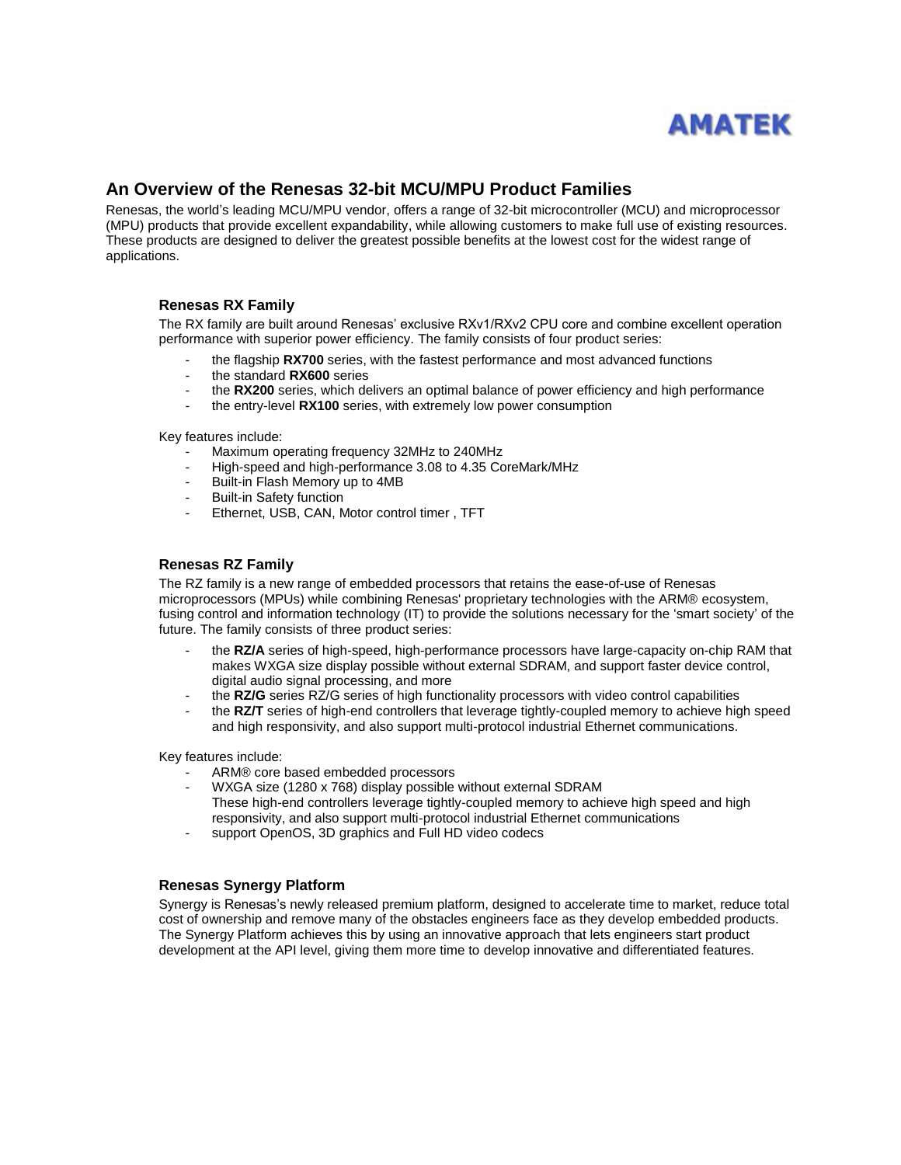

# **An Overview of the Renesas 32-bit MCU/MPU Product Families**

Renesas, the world's leading MCU/MPU vendor, offers a range of 32-bit microcontroller (MCU) and microprocessor (MPU) products that provide excellent expandability, while allowing customers to make full use of existing resources. These products are designed to deliver the greatest possible benefits at the lowest cost for the widest range of applications.

## **Renesas RX Family**

The RX family are built around Renesas' exclusive RXv1/RXv2 CPU core and combine excellent operation performance with superior power efficiency. The family consists of four product series:

- the flagship **RX700** series, with the fastest performance and most advanced functions
- the standard **RX600** series
- the **RX200** series, which delivers an optimal balance of power efficiency and high performance
- the entry-level RX100 series, with extremely low power consumption

Key features include:

- Maximum operating frequency 32MHz to 240MHz
- High-speed and high-performance 3.08 to 4.35 CoreMark/MHz
- Built-in Flash Memory up to 4MB
- Built-in Safety function
- Ethernet, USB, CAN, Motor control timer, TFT

#### **Renesas RZ Family**

The RZ family is a new range of embedded processors that retains the ease-of-use of Renesas microprocessors (MPUs) while combining Renesas' proprietary technologies with the ARM® ecosystem, fusing control and information technology (IT) to provide the solutions necessary for the 'smart society' of the future. The family consists of three product series:

- the **RZ/A** series of high-speed, high-performance processors have large-capacity on-chip RAM that makes WXGA size display possible without external SDRAM, and support faster device control, digital audio signal processing, and more
- the **RZ/G** series RZ/G series of high functionality processors with video control capabilities
- the **RZ/T** series of high-end controllers that leverage tightly-coupled memory to achieve high speed and high responsivity, and also support multi-protocol industrial Ethernet communications.

Key features include:

- ARM® core based embedded processors
- WXGA size (1280 x 768) display possible without external SDRAM These high-end controllers leverage tightly-coupled memory to achieve high speed and high responsivity, and also support multi-protocol industrial Ethernet communications
- support OpenOS, 3D graphics and Full HD video codecs

#### **Renesas Synergy Platform**

Synergy is Renesas's newly released premium platform, designed to accelerate time to market, reduce total cost of ownership and remove many of the obstacles engineers face as they develop embedded products. The Synergy Platform achieves this by using an innovative approach that lets engineers start product development at the API level, giving them more time to develop innovative and differentiated features.